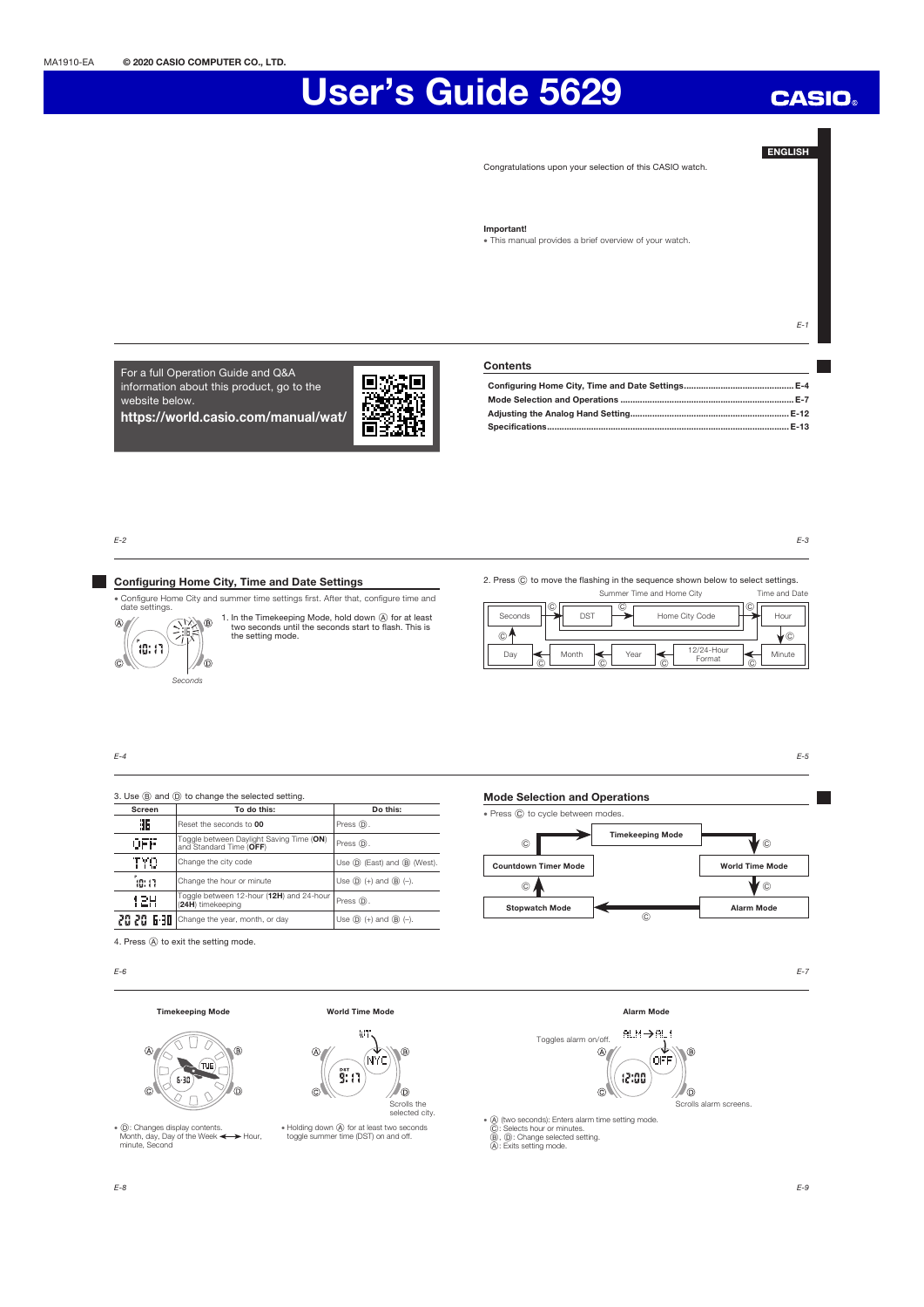# User's Guide 5629

## ENGLISH

**CASIO** 

Congratulations upon your selection of this CASIO watch.

#### Important!

x This manual provides a brief overview of your watch.

For a full Operation Guide and Q&A information about this product, go to the website below. https://world.casio.com/manual/wat/



## Contents

E-2

 $\circledast$ 

 $\circ$ 

٦

## Configuring Home City, Time and Date Settings

x Configure Home City and summer time settings first. After that, configure time and date settings.

A ® 1. In the Timekeeping Mode, hold down  $\bigcirc$  for at least two seconds until the seconds start to flash. This is the setting mode. ៉ាន់ រា

2. Press  $\copyright$  to move the flashing in the sequence shown below to select settings.

|                    |                      | Summer Time and Home City  |   | Time and Date |
|--------------------|----------------------|----------------------------|---|---------------|
| Seconds<br>$\odot$ | ©<br>C<br><b>DST</b> | Home City Code             | C | Hour<br>r C   |
| Day<br>Ĉ           | Month<br>Year<br>Ĉ   | 12/24-Hour<br>Format<br>Ĉ. | Ĉ | Minute        |

#### $F-4$

3. Use  $\circledB$  and  $\circledD$  to change the selected setting. Screen To do this: Do this: 36 Reset the seconds to 00 Press  $\circledR$ **OFF** Toggle between Daylight Saving Time (ON) Press (D.<br>and Standard Time (OFF) **TYO** Change the city code Use  $\bigcup$  Use  $\textcircled{D}$  (East) and  $\textcircled{B}$  (West). Change the hour or minute  $\Big|\bigcup_{S\in\mathbb{D}}(+)$  and  $\circledB$  (-). ័ន្ន: រា 12H Toggle between 12-hour (12H) and 24-hour Press (D.<br>(24H) timekeeping  $2020$   $\bullet$  -10 Change the year, month, or day  $\qquad \qquad$  Use  $\circledcirc$  (+) and  $\circledcirc$  (-).

Mode Selection and Operations



4. Press  $\textcircled{A}$  to exit the setting mode.

Seconds

// 0

E-6

E-8

#### Timekeeping Mode World Time Mode



• ①: Changes display contents.<br>Month, day, Day of the Week < → Hour,<br>minute, Second





#### Alarm Mode



x A (two seconds): Enters alarm time setting mode. C: Selects hour or minutes. B, D: Change selected setting. A: Exits setting mode.

E-9

E-7

E-5

E-3

 $F-1$